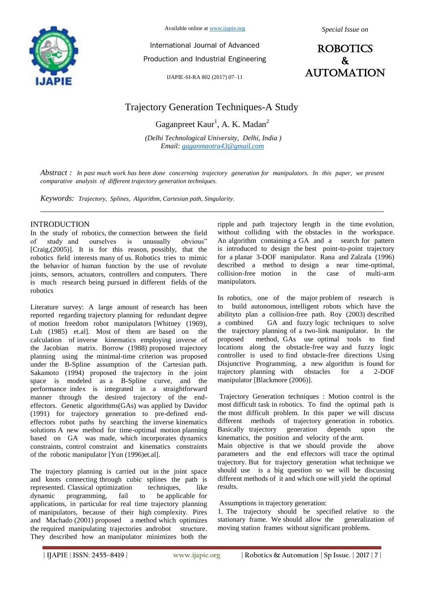

Available online at www.ijapie.org

*Special Issue on*

International Journal of Advanced Production and Industrial Engineering

IJAPIE-SI-RA 802 (2017) 07–11

# ROBOTICS & aUTOMATION

# Trajectory Generation Techniques-A Study

Gaganpreet  $Kaur<sup>1</sup>$ , A. K. Madan<sup>2</sup>

*(Delhi Technological University, Delhi, India ) Email: gaganmaotra43@gmail.com*

*Abstract : In past much work has been done concerning trajectory generation for manipulators. In this paper, we present comparative analysis of different trajectory generation techniques.*

*Keywords: Trajectory, Splines, Algorithm, Cartesian path, Singularity.*

### INTRODUCTION

In the study of robotics, the connection between the field of study and ourselves is unusually obvious" [Craig,(2005)]. It is for this reason, possibly, that the robotics field interests many of us. Robotics tries to mimic the behavior of human function by the use of revolute joints, sensors, actuators, controllers and computers. There is much research being pursued in different fields of the robotics

Literature survey: A large amount of research has been reported regarding trajectory planning for redundant degree of motion freedom robot manipulators [Whitney (1969), Luh (1985) et.al]. Most of them are based on the calculation of inverse kinematics employing inverse of the Jacobian matrix. Borrow (1988) proposed trajectory planning using the minimal-time criterion was proposed under the B-Spline assumption of the Cartesian path. Sakamoto (1994) proposed the trajectory in the joint space is modeled as a B-Spline curve, and the performance index is integrated in a straightforward manner through the desired trajectory of the endeffectors. Genetic algorithms(GAs) was applied by Davidor (1991) for trajectory generation to pre-defined endeffectors robot paths by searching the inverse kinematics solutions A new method for time-optimal motion planning based on GA was made, which incorporates dynamics constraints, control constraint and kinematics constraints of the robotic manipulator [Yun (1996)et.al].

The trajectory planning is carried out in the joint space and knots connecting through cubic splines the path is represented. Classical optimization techniques, like dynamic programming, fail to be applicable for applications, in particular for real time trajectory planning of manipulators, because of their high complexity. Pires and Machado (2001) proposed a method which optimizes the required manipulating trajectories androbot structure. They described how an manipulator minimizes both the

ripple and path trajectory length in the time evolution, without colliding with the obstacles in the workspace. An algorithm containing a GA and a search for pattern is introduced to design the best point-to-point trajectory for a planar 3-DOF manipulator. Rana and Zalzala (1996) described a method to design a near time-optimal, collision-free motion in the case of multi-arm manipulators.

In robotics, one of the major problem of research is to build autonomous, intelligent robots which have the abilityto plan a collision-free path. Roy (2003) described a combined GA and fuzzy logic techniques to solve the trajectory planning of a two-link manipulator. In the proposed method, GAs use optimal tools to find locations along the obstacle-free way and fuzzy logic controller is used to find obstacle-free directions Using Disjunctive Programming, a new algorithm is found for trajectory planning with obstacles for a 2-DOF manipulator [Blackmore (2006)].

Trajectory Generation techniques : Motion control is the most difficult task in robotics. To find the optimal path is the most difficult problem. In this paper we will discuss different methods of trajectory generation in robotics. Basically trajectory generation depends upon the kinematics, the position and velocity of the arm. Main objective is that we should provide the above

parameters and the end effectors will trace the optimal trajectory. But for trajectory generation what technique we should use is a big question so we will be discussing different methods of it and which one will yield the optimal results.

Assumptions in trajectory generation:

1. The trajectory should be specified relative to the stationary frame. We should allow the generalization of moving station frames without significant problems.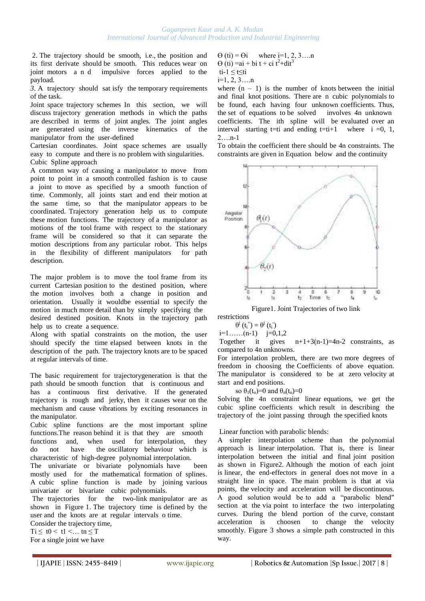2. The trajectory should be smooth, i.e., the position and its first derivate should be smooth. This reduces wear on joint motors a n d impulsive forces applied to the payload.

*3*. A trajectory should sat isfy the temporary requirements of the task.

Joint space trajectory schemes In this section, we will discuss trajectory generation methods in which the paths are described in terms of joint angles. The joint angles are generated using the inverse kinematics of the manipulator from the user-defined

Cartesian coordinates. Joint space schemes are usually easy to compute and there is no problem with singularities. Cubic Spline approach

A common way of causing a manipulator to move from point to point in a smooth controlled fashion is to cause a joint to move as specified by a smooth function of time. Commonly, all joints start and end their motion at the same time, so that the manipulator appears to be coordinated. Trajectory generation help us to compute these motion functions. The trajectory of a manipulator as motions of the tool frame with respect to the stationary frame will be considered so that it can separate the motion descriptions from any particular robot. This helps in the flexibility of different manipulators for path description.

The major problem is to move the tool frame from its current Cartesian position to the destined position, where the motion involves both a change in position and orientation. Usually it wouldbe essential to specify the motion in much more detail than by simply specifying the desired destined position. Knots in the trajectory path help us to create a sequence.

Along with spatial constraints on the motion, the user should specify the time elapsed between knots in the description of the path. The trajectory knots are to be spaced at regular intervals of time.

The basic requirement for trajectorygeneration is that the path should be smooth function that is continuous and has a continuous first derivative. If the generated trajectory is rough and jerky, then it causes wear on the mechanism and cause vibrations by exciting resonances in the manipulator.

Cubic spline functions are the most important spline functions.The reason behind it is that they are smooth functions and, when used for interpolation, they do not have the oscillatory behaviour which is characteristic of high-degree polynomial interpolation.

The univariate or bivariate polynomials have been mostly used for the mathematical formation of splines. A cubic spline function is made by joining various univariate or bivariate cubic polynomials.

The trajectories for the two-link manipulator are as shown in Figure 1. The trajectory time is defined by the user and the knots are at regular intervals o time.

Consider the trajectory time,  $Ti \leq t0 < t1 < ...$  tn  $\leq T$ For a single joint we have

$$
\Theta (ti) = \Theta i \quad \text{where } i=1, 2, 3...n
$$
  
\n
$$
\Theta (ti) = ai + bi t + ci t^2 + dit^3
$$
  
\n
$$
ti-1 \leq t \leq ti
$$

 $i=1, 2, 3, \ldots n$ 

where  $(n - 1)$  is the number of knots between the initial and final knot positions. There are n cubic polynomials to be found, each having four unknown coefficients. Thus, the set of equations to be solved involves 4n unknown coefficients. The ith spline will be evaluated over an interval starting t=ti and ending t=ti+1 where i =0, 1, 2….n-1

To obtain the coefficient there should be 4n constraints. The constraints are given in Equation below and the continuity



Figure1. Joint Trajectories of two link

restrictions

 $\theta^j(t_i^+) = \theta^j(t_i^-)$  $i=1$ ...... $(n-1)$   $j=0,1,2$ 

Together it gives  $n+1+3(n-1)=4n-2$  constraints, as compared to 4n unknowns.

For interpolation problem, there are two more degrees of freedom in choosing the Coefficients of above equation. The manipulator is considered to be at zero velocity at start and end positions.

so  $\theta_1(t_0)=0$  and  $\theta_n(t_n)=0$ 

Solving the 4n constraint linear equations, we get the cubic spline coefficients which result in describing the trajectory of the joint passing through the specified knots

Linear function with parabolic blends:

A simpler interpolation scheme than the polynomial approach is linear interpolation. That is, there is linear interpolation between the initial and final joint position as shown in Figure2. Although the motion of each joint is linear, the end-effectors in general does not move in a straight line in space. The main problem is that at via points, the velocity and acceleration will be discontinuous. A good solution would be to add a "parabolic blend" section at the via point to interface the two interpolating curves. During the blend portion of the curve, constant acceleration is choosen to change the velocity smoothly. Figure 3 shows a simple path constructed in this way.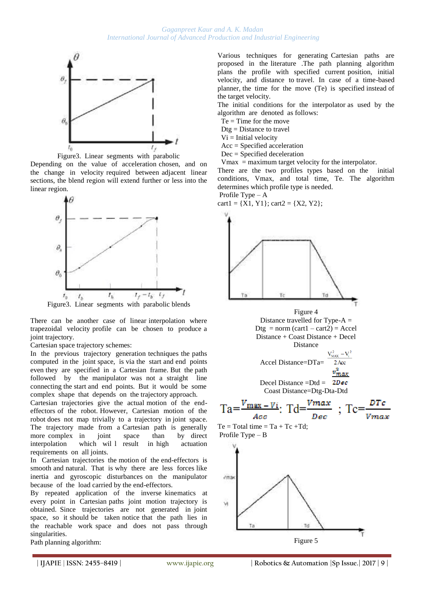

 Figure3. Linear segments with parabolic Depending on the value of acceleration chosen, and on

the change in velocity required between adjacent linear sections, the blend region will extend further or less into the linear region.



Figure3. Linear segments with parabolic blends

There can be another case of linear interpolation where trapezoidal velocity profile can be chosen to produce a joint trajectory.

Cartesian space trajectory schemes:

In the previous trajectory generation techniques the paths computed in the joint space, is via the start and end points even they are specified in a Cartesian frame. But the path followed by the manipulator was not a straight line connecting the start and end points. But it would be some complex shape that depends on the trajectory approach.

Cartesian trajectories give the actual motion of the endeffectors of the robot. However, Cartesian motion of the robot does not map trivially to a trajectory in joint space. The trajectory made from a Cartesian path is generally more complex in joint space than by direct interpolation which wil l result in high actuation requirements on all joints.

In Cartesian trajectories the motion of the end-effectors is smooth and natural. That is why there are less forces like inertia and gyroscopic disturbances on the manipulator because of the load carried by the end-effectors.

By repeated application of the inverse kinematics at every point in Cartesian paths joint motion trajectory is obtained. Since trajectories are not generated in joint space, so it should be taken notice that the path lies in the reachable work space and does not pass through singularities.



Various techniques for generating Cartesian paths are proposed in the literature .The path planning algorithm plans the profile with specified current position, initial velocity, and distance to travel. In case of a time-based planner, the time for the move (Te) is specified instead of the target velocity.

The initial conditions for the interpolator as used by the algorithm are denoted as follows:

- Te = Time for the move
- $Dtg = Distance$  to travel
- $Vi = Initial velocity$
- Acc = Specified acceleration
- Dec = Specified deceleration
- Vmax = maximum target velocity for the interpolator.

There are the two profiles types based on the initial conditions, Vmax, and total time, Te. The algorithm determines which profile type is needed.

Profile Type – A

cart1 = {X1, Y1}; cart2 = {X2, Y2};

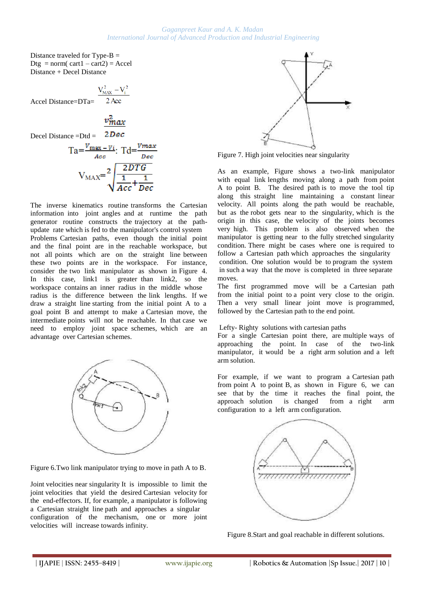#### *Gaganpreet Kaur and A. K. Madan International Journal of Advanced Production and Industrial Engineering*

Distance traveled for Type- $B =$ Dtg = norm( $cart1 - cart2$ ) = Accel Distance + Decel Distance

$$
\frac{V_{MAX}^{2} - V_{i}^{2}}{2 \text{ Acc}}
$$
  
Accel Distance=DTa=  $\frac{V_{MAX}^{2} - V_{i}^{2}}{2 \text{ Acc}}$ 

$$
v_{max}^2
$$

2Dec Decel Distance =Dtd =

$$
Ta = \frac{v_{\text{max}} - v_i}{Acc}
$$
: 
$$
Td = \frac{v_{\text{max}}}{D \text{ sec}}
$$

$$
V_{\text{MAX}} = \sqrt{\frac{2DTG}{Acc} + \frac{1}{Dec}}
$$

The inverse kinematics routine transforms the Cartesian information into joint angles and at runtime the path generator routine constructs the trajectory at the pathupdate rate which is fed to the manipulator's control system Problems Cartesian paths, even though the initial point and the final point are in the reachable workspace, but not all points which are on the straight line between these two points are in the workspace. For instance, consider the two link manipulator as shown in Figure 4. In this case, link1 is greater than link2, so the workspace contains an inner radius in the middle whose radius is the difference between the link lengths. If we draw a straight line starting from the initial point A to a goal point B and attempt to make a Cartesian move, the intermediate points will not be reachable. In that case we need to employ joint space schemes, which are an advantage over Cartesian schemes.



Figure 6.Two link manipulator trying to move in path A to B.

Joint velocities near singularity It is impossible to limit the joint velocities that yield the desired Cartesian velocity for the end-effectors. If, for example, a manipulator is following a Cartesian straight line path and approaches a singular configuration of the mechanism, one or more joint velocities will increase towards infinity.



Figure 7. High joint velocities near singularity

As an example, Figure shows a two-link manipulator with equal link lengths moving along a path from point A to point B. The desired path is to move the tool tip along this straight line maintaining a constant linear velocity. All points along the path would be reachable, but as the robot gets near to the singularity, which is the origin in this case, the velocity of the joints becomes very high. This problem is also observed when the manipulator is getting near to the fully stretched singularity condition. There might be cases where one is required to follow a Cartesian path which approaches the singularity condition. One solution would be to program the system in such a way that the move is completed in three separate moves.

The first programmed move will be a Cartesian path from the initial point to a point very close to the origin. Then a very small linear joint move is programmed, followed by the Cartesian path to the end point.

## Lefty- Righty solutions with cartesian paths

For a single Cartesian point there, are multiple ways of approaching the point. In case of the two-link manipulator, it would be a right arm solution and a left arm solution.

For example, if we want to program a Cartesian path from point A to point B, as shown in Figure 6, we can see that by the time it reaches the final point, the approach solution is changed from a right arm configuration to a left arm configuration.



Figure 8.Start and goal reachable in different solutions.